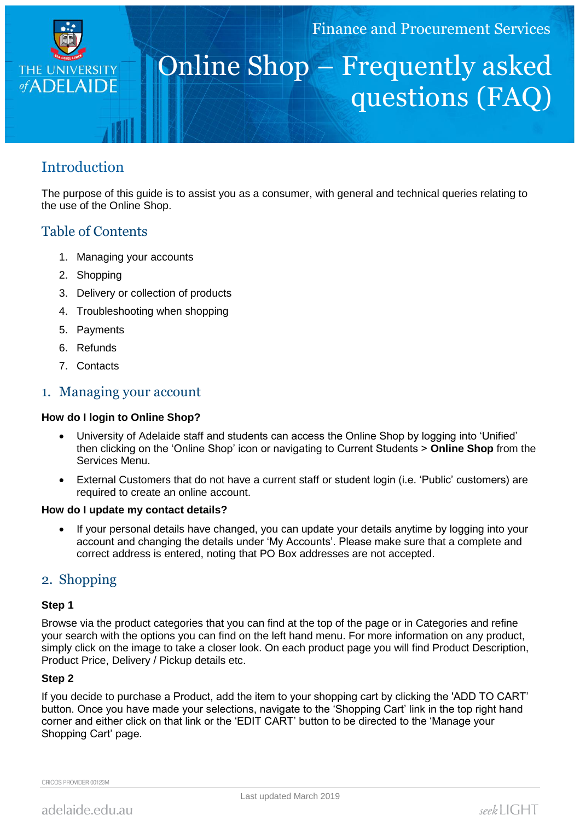

# Online Shop – Frequently asked questions (FAQ)

# **Introduction**

The purpose of this guide is to assist you as a consumer, with general and technical queries relating to the use of the Online Shop.

# Table of Contents

- 1. Managing your accounts
- 2. Shopping
- 3. Delivery or collection of products
- 4. Troubleshooting when shopping
- 5. Payments
- 6. Refunds
- 7. Contacts

## 1. Managing your account

#### **How do I login to Online Shop?**

- University of Adelaide staff and students can access the Online Shop by logging into 'Unified' then clicking on the 'Online Shop' icon or navigating to Current Students > **Online Shop** from the Services Menu.
- External Customers that do not have a current staff or student login (i.e. 'Public' customers) are required to create an online account.

#### **How do I update my contact details?**

 If your personal details have changed, you can update your details anytime by logging into your account and changing the details under 'My Accounts'. Please make sure that a complete and correct address is entered, noting that PO Box addresses are not accepted.

## 2. Shopping

#### **Step 1**

Browse via the product categories that you can find at the top of the page or in Categories and refine your search with the options you can find on the left hand menu. For more information on any product, simply click on the image to take a closer look. On each product page you will find Product Description, Product Price, Delivery / Pickup details etc.

#### **Step 2**

If you decide to purchase a Product, add the item to your shopping cart by clicking the 'ADD TO CART' button. Once you have made your selections, navigate to the 'Shopping Cart' link in the top right hand corner and either click on that link or the 'EDIT CART' button to be directed to the 'Manage your Shopping Cart' page.

CRICOS PROVIDER 00123M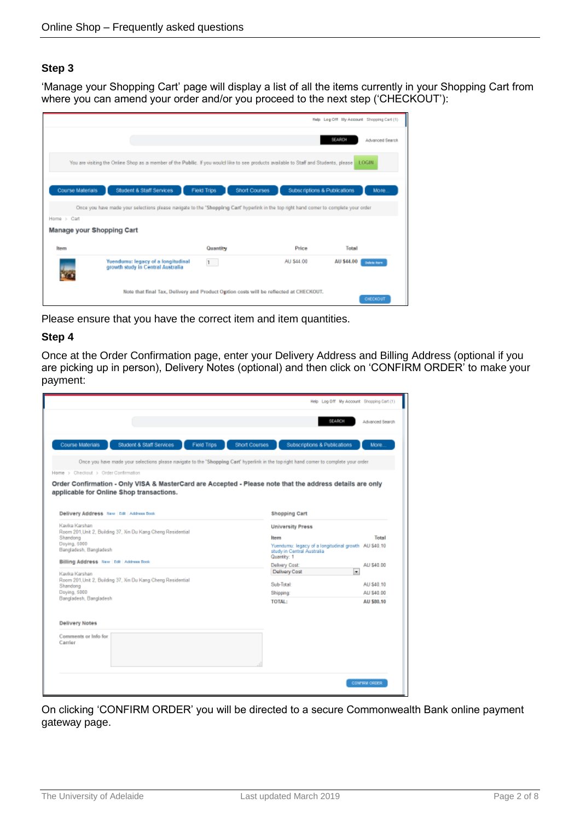#### **Step 3**

'Manage your Shopping Cart' page will display a list of all the items currently in your Shopping Cart from where you can amend your order and/or you proceed to the next step ('CHECKOUT'):

|                           |                                                                                                                                        |              |                                                                                       |                   | Help Log Off Hly Account Shopping Carl (1) |
|---------------------------|----------------------------------------------------------------------------------------------------------------------------------------|--------------|---------------------------------------------------------------------------------------|-------------------|--------------------------------------------|
|                           |                                                                                                                                        |              |                                                                                       | <b>BEARCH</b>     | <b>Advanced Search</b>                     |
|                           | You are visiting the Online Shop as a member of the Public. If you would like to see products available to Staff and Students, please  |              |                                                                                       |                   | LOGIN                                      |
| Course Materials          | Student & Staff Services                                                                                                               | Field Trips  | Subscriptions & Publications<br>Short Courses                                         |                   | More.                                      |
|                           | Once you have made your selections please navigate to the "Shopping Cart' hyperlink in the top right hand comer to complete your order |              |                                                                                       |                   |                                            |
| Home > Cart               |                                                                                                                                        |              |                                                                                       |                   |                                            |
| Manage your Shopping Cart |                                                                                                                                        |              |                                                                                       |                   |                                            |
| <b>Inem</b>               |                                                                                                                                        | Quantity     | Price                                                                                 | <b>Total</b>      |                                            |
|                           | Yuendumu: legacy of a longitudinal<br>growth study in Central Australia                                                                | $\mathbf{1}$ | AU \$44.00                                                                            | <b>AU \$44.00</b> | <b>Delete Rare</b>                         |
|                           |                                                                                                                                        |              | Note that final Tax, Delivery and Product Option costs will be reflected at CHECKOUT. |                   | CHECKOUT                                   |

Please ensure that you have the correct item and item quantities.

#### **Step 4**

Once at the Order Confirmation page, enter your Delivery Address and Billing Address (optional if you are picking up in person), Delivery Notes (optional) and then click on 'CONFIRM ORDER' to make your payment:

|                                                                                                                                                                                                | Help Log Off My Account Shopping Cart (1)                                                         |                      |
|------------------------------------------------------------------------------------------------------------------------------------------------------------------------------------------------|---------------------------------------------------------------------------------------------------|----------------------|
|                                                                                                                                                                                                | <b>SEARCH</b>                                                                                     | Advanced Search      |
| Student & Staff Services<br>Course Materials<br><b>Field Trips</b><br><b>Short Courses</b>                                                                                                     | Subscriptions & Publications                                                                      | More.                |
| Once you have made your selections please navigate to the 'Shopping Cart' hyperlink in the top right hand comer to complete your order                                                         |                                                                                                   |                      |
| Home > Checkout > Order Confirmation                                                                                                                                                           |                                                                                                   |                      |
| Order Confirmation - Only VISA & MasterCard are Accepted - Please note that the address details are only<br>applicable for Online Shop transactions.<br>Delivery Address New Edit Address Book | <b>Shopping Cart</b>                                                                              |                      |
| Kavika Karshan                                                                                                                                                                                 | <b>University Press</b>                                                                           |                      |
| Room 201, Unit 2, Building 37, Xin Du Kang Cheng Residential<br>Shandong                                                                                                                       | ltem                                                                                              | Total                |
| Doving, 5000<br>Bangladesh, Bangladesh                                                                                                                                                         | Yuendumu: legacy of a longitudinal growth AU \$40.10<br>study in Central Australia<br>Quantity: 1 |                      |
| Billing Address New Edit Address Book                                                                                                                                                          | Delivery Cost:                                                                                    | AU \$40.00           |
| Kavika Karshan                                                                                                                                                                                 | $\overline{ }$<br>Delivery Cost                                                                   |                      |
| Room 201.Unit 2, Building 37, Xin Du Kang Cheng Residential<br>Shandong                                                                                                                        | Sub-Total:                                                                                        | AU \$40.10           |
| Doying, 5000                                                                                                                                                                                   | Shipping                                                                                          | AU \$40.00           |
| Bangladesh, Bangladesh                                                                                                                                                                         | <b>TOTAL:</b>                                                                                     | AU \$80.10           |
| <b>Delivery Notes</b>                                                                                                                                                                          |                                                                                                   |                      |
| Comments or Info for<br>Carrier                                                                                                                                                                |                                                                                                   |                      |
|                                                                                                                                                                                                |                                                                                                   | <b>CONFIRM ORDER</b> |

On clicking 'CONFIRM ORDER' you will be directed to a secure Commonwealth Bank online payment gateway page.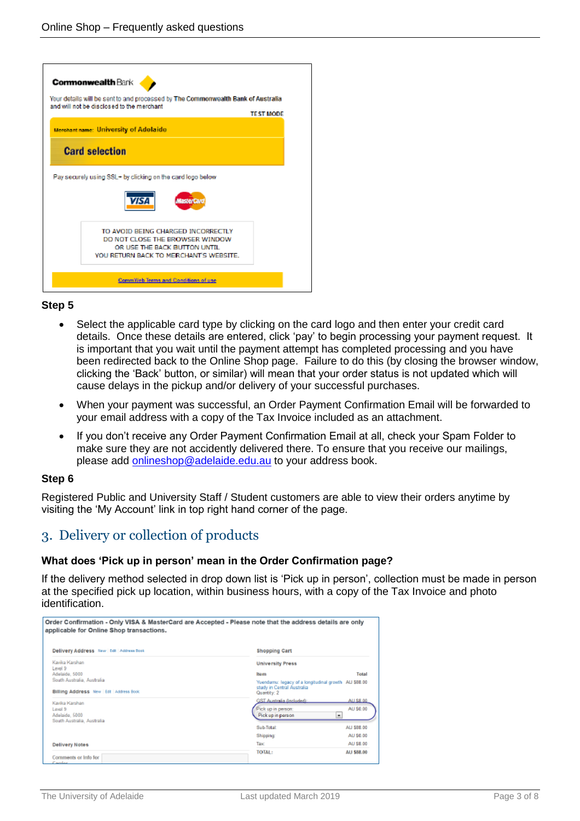| <b>Commonwealth Bank</b><br>Your details will be sent to and processed by The Commonwealth Bank of Australia<br>and will not be disclosed to the merchant<br><b>TEST MODE</b> |
|-------------------------------------------------------------------------------------------------------------------------------------------------------------------------------|
| Merchant name: University of Adelaide                                                                                                                                         |
| <b>Card selection</b>                                                                                                                                                         |
| Pay securely using SSL+ by clicking on the card logo below.                                                                                                                   |
|                                                                                                                                                                               |
| vısı                                                                                                                                                                          |
| TO AVOID BEING CHARGED INCORRECTLY<br>DO NOT CLOSE THE BROWSER WINDOW                                                                                                         |
| OR USE THE BACK BUTTON UNTIL.<br>YOU RETURN BACK TO MERCHANT'S WEBSITE.                                                                                                       |

#### **Step 5**

- Select the applicable card type by clicking on the card logo and then enter your credit card details. Once these details are entered, click 'pay' to begin processing your payment request. It is important that you wait until the payment attempt has completed processing and you have been redirected back to the Online Shop page. Failure to do this (by closing the browser window, clicking the 'Back' button, or similar) will mean that your order status is not updated which will cause delays in the pickup and/or delivery of your successful purchases.
- When your payment was successful, an Order Payment Confirmation Email will be forwarded to your email address with a copy of the Tax Invoice included as an attachment.
- If you don't receive any Order Payment Confirmation Email at all, check your Spam Folder to make sure they are not accidently delivered there. To ensure that you receive our mailings, please add onlineshop@adelaide.edu.au to your address book.

#### **Step 6**

Registered Public and University Staff / Student customers are able to view their orders anytime by visiting the 'My Account' link in top right hand corner of the page.

# 3. Delivery or collection of products

#### **What does 'Pick up in person' mean in the Order Confirmation page?**

If the delivery method selected in drop down list is 'Pick up in person', collection must be made in person at the specified pick up location, within business hours, with a copy of the Tax Invoice and photo identification.

| Order Confirmation - Only VISA & MasterCard are Accepted - Please note that the address details are only<br>applicable for Online Shop transactions. |                                                                                                                                                                                           |  |  |  |
|------------------------------------------------------------------------------------------------------------------------------------------------------|-------------------------------------------------------------------------------------------------------------------------------------------------------------------------------------------|--|--|--|
| Delivery Address New Edit Address Book                                                                                                               | <b>Shopping Cart</b>                                                                                                                                                                      |  |  |  |
| Kavika Karshan<br>Level 9<br>Adelaide, 5000<br>South Australia, Australia<br>Billing Address New Etit Address Book<br>Kavika Karshan                 | <b>University Press</b><br>Total<br>lte m<br>Yuendumu: legacy of a longitudinal growth ALI \$88.00<br>study in Central Australia<br>Quantity: 2<br>GST Australia (Included):<br>AU \$8.00 |  |  |  |
| Level 9<br>Adelaide, 5000<br>South Australia, Australia<br><b>Delivery Notes</b>                                                                     | AU \$0.00<br>Pick up in person:<br>Pick up in person<br>٠<br>Sub-Total:<br>ALI 588.00<br>AU \$0.00<br>Shipping<br>AU \$8.00<br>Taw:                                                       |  |  |  |
| Comments or Info for<br>Parelse                                                                                                                      | ΤΟΤΑΙ:<br>AU \$88.00                                                                                                                                                                      |  |  |  |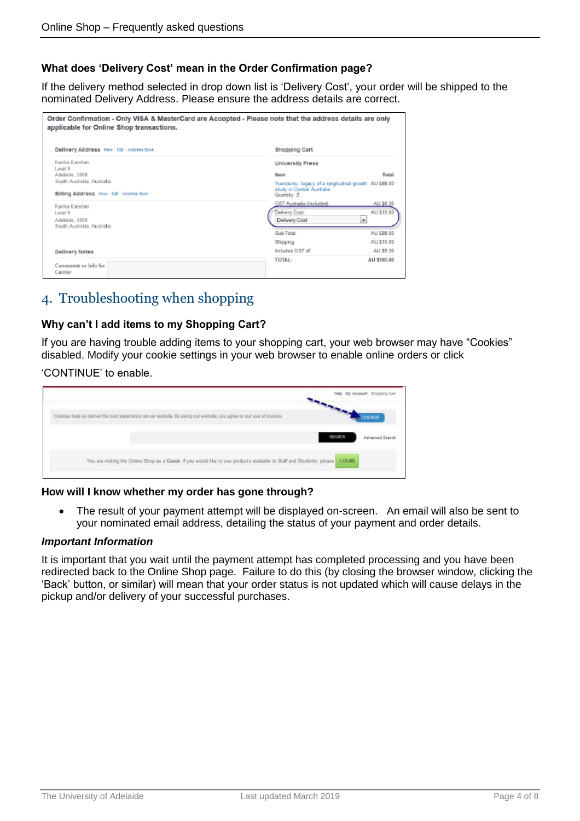#### **What does 'Delivery Cost' mean in the Order Confirmation page?**

If the delivery method selected in drop down list is 'Delivery Cost', your order will be shipped to the nominated Delivery Address. Please ensure the address details are correct.

| Order Confirmation - Only VISA & MasterCard are Accepted - Please note that the address details are only<br>applicable for Online Shop transactions. |                                                      |  |  |
|------------------------------------------------------------------------------------------------------------------------------------------------------|------------------------------------------------------|--|--|
| Delivery Address New   Edit   Address Book                                                                                                           | <b>Shopping Cart</b>                                 |  |  |
| Kavika Karshan<br>Loval 9                                                                                                                            | <b>University Press</b>                              |  |  |
| Adelaide, 5000                                                                                                                                       | Item<br>Total                                        |  |  |
| South Australia, Australia                                                                                                                           | Yuendumu: legacy of a longitudinal growth AU \$88.00 |  |  |
| Billing Address New Edit Address Book                                                                                                                | study in Central Australia<br>Quantity: 2            |  |  |
| Kavika Karshan                                                                                                                                       | <b>GST Australia (Included):</b><br>AU \$9.36        |  |  |
| Level 9                                                                                                                                              | AU \$15.00<br>Delivery Cost:                         |  |  |
| Adelaide, 5000                                                                                                                                       | $\cdot$<br>Delivery Cost                             |  |  |
| South Australia, Australia                                                                                                                           |                                                      |  |  |
|                                                                                                                                                      | Sub-Total:<br>ALI \$88.00                            |  |  |
|                                                                                                                                                      | AU \$15.00<br><b>Shipping:</b>                       |  |  |
| <b>Delivery Notes</b>                                                                                                                                | Includes GST of:<br>AU 59.36                         |  |  |
| Comments or Info for<br>Carrier                                                                                                                      | <b>TOTAL:</b><br>AU \$103.00                         |  |  |

# 4. Troubleshooting when shopping

#### **Why can't I add items to my Shopping Cart?**

If you are having trouble adding items to your shopping cart, your web browser may have "Cookies" disabled. Modify your cookie settings in your web browser to enable online orders or click

#### 'CONTINUE' to enable.

|                                                                                                                                                                                                                                   | Bly Account Shopping Cart |
|-----------------------------------------------------------------------------------------------------------------------------------------------------------------------------------------------------------------------------------|---------------------------|
| Cooles help us deliver the best experience on our website. By using our website, you agree to our use of cooles<br>that is a local complete that the complete of the state of the complete and the state of the complete state of |                           |
|                                                                                                                                                                                                                                   | Advanced Search           |
| You are visiting the Online Shop as a Goest. If you would like to see products available to Staff and Students, please LOGIN.                                                                                                     |                           |

#### **How will I know whether my order has gone through?**

 The result of your payment attempt will be displayed on-screen. An email will also be sent to your nominated email address, detailing the status of your payment and order details.

#### *Important Information*

It is important that you wait until the payment attempt has completed processing and you have been redirected back to the Online Shop page. Failure to do this (by closing the browser window, clicking the 'Back' button, or similar) will mean that your order status is not updated which will cause delays in the pickup and/or delivery of your successful purchases.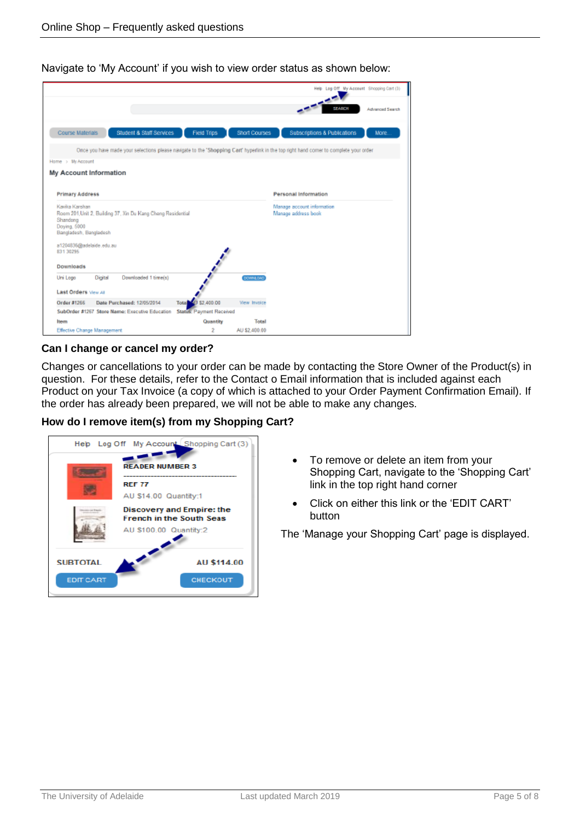Navigate to 'My Account' if you wish to view order status as shown below:

|                                                                                                                                        |                          |                      | Help Leg Off My Accessf Shopping Cart (3)         |                        |
|----------------------------------------------------------------------------------------------------------------------------------------|--------------------------|----------------------|---------------------------------------------------|------------------------|
|                                                                                                                                        |                          |                      | SEARCH                                            | <b>Advanced Search</b> |
| <b>Student &amp; Staff Services</b><br>Course Materials                                                                                | <b>Field Trips</b>       | <b>Short Courses</b> | Subscriptions & Publications                      | More.                  |
| Once you have made your selections please navigate to the 'Shopping Cart' hyperlink in the top right hand comer to complete your order |                          |                      |                                                   |                        |
| Home > My Account                                                                                                                      |                          |                      |                                                   |                        |
| My Account Information                                                                                                                 |                          |                      |                                                   |                        |
|                                                                                                                                        |                          |                      |                                                   |                        |
| <b>Primary Address</b>                                                                                                                 |                          |                      | <b>Personal Information</b>                       |                        |
| Kavika Karshan<br>Room 201, Unit 2, Building 37, Xin Du Kang Cheng Residential<br>Shandong<br>Doying, 5000<br>Bangladesh, Bangladesh   |                          |                      | Manage account information<br>Manage address book |                        |
|                                                                                                                                        |                          |                      |                                                   |                        |
| a1204836@adelaide.edu.au<br>831 30295                                                                                                  |                          |                      |                                                   |                        |
| <b>Downloads</b>                                                                                                                       |                          |                      |                                                   |                        |
| Downloaded 1 time(s)<br>Uni Logo<br>Digital                                                                                            | فللمراد                  | <b>DOWNLOAD</b>      |                                                   |                        |
| Last Orders Vww.as                                                                                                                     |                          |                      |                                                   |                        |
| Date Purchased: 12/05/2014                                                                                                             | 10 \$2,400.00<br>Total   | View Invoice         |                                                   |                        |
| Order #1266<br>SubOrder #1267 Store Name: Executive Education                                                                          | Status: Payment Received |                      |                                                   |                        |
| Item                                                                                                                                   | Quantity                 | Total                |                                                   |                        |

#### **Can I change or cancel my order?**

Changes or cancellations to your order can be made by contacting the Store Owner of the Product(s) in question. For these details, refer to the Contact o Email information that is included against each Product on your Tax Invoice (a copy of which is attached to your Order Payment Confirmation Email). If the order has already been prepared, we will not be able to make any changes.

**How do I remove item(s) from my Shopping Cart?**



- To remove or delete an item from your Shopping Cart, navigate to the 'Shopping Cart' link in the top right hand corner
- Click on either this link or the 'EDIT CART' button

The 'Manage your Shopping Cart' page is displayed.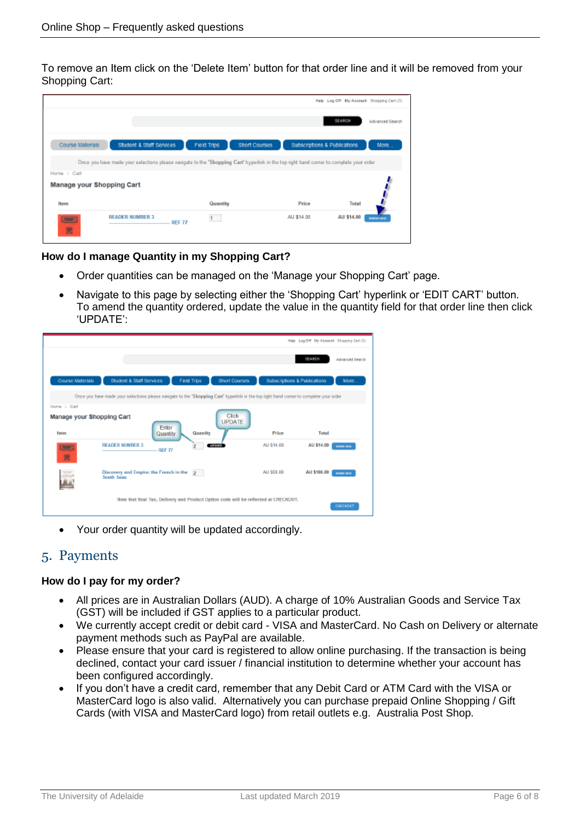To remove an Item click on the 'Delete Item' button for that order line and it will be removed from your Shopping Cart:

|                           |                                                                                                                                       |             |                                               | Help Log Off Hly Account Shopping Cart (3) |                 |
|---------------------------|---------------------------------------------------------------------------------------------------------------------------------------|-------------|-----------------------------------------------|--------------------------------------------|-----------------|
|                           |                                                                                                                                       |             |                                               | <b>SEARCH</b>                              | Advanced Search |
| Course Materials          | Student & Staff Services                                                                                                              | Field Trips | Short Courses<br>Subscriptions & Publications |                                            | More            |
|                           | Once you have made your selections please navigate to the "Shopping Cart' hyperink in the top right hand comer to complete your order |             |                                               |                                            |                 |
| Home > Cart               |                                                                                                                                       |             |                                               |                                            |                 |
| Manage your Shopping Cart |                                                                                                                                       |             |                                               |                                            |                 |
| Item                      |                                                                                                                                       | Quantity    | Price                                         | Total                                      |                 |
| <b>Second</b><br>國        | <b>READER NUMBER 3</b><br><b>REF 77</b><br>                                                                                           | 1           | AU \$14.00                                    | AU \$14.00                                 | Delete (tem     |

**How do I manage Quantity in my Shopping Cart?**

- Order quantities can be managed on the 'Manage your Shopping Cart' page.
- Navigate to this page by selecting either the 'Shopping Cart' hyperlink or 'EDIT CART' button. To amend the quantity ordered, update the value in the quantity field for that order line then click 'UPDATE':



Your order quantity will be updated accordingly.

## 5. Payments

#### **How do I pay for my order?**

- All prices are in Australian Dollars (AUD). A charge of 10% Australian Goods and Service Tax (GST) will be included if GST applies to a particular product.
- We currently accept credit or debit card VISA and MasterCard. No Cash on Delivery or alternate payment methods such as PayPal are available.
- Please ensure that your card is registered to allow online purchasing. If the transaction is being declined, contact your card issuer / financial institution to determine whether your account has been configured accordingly.
- If you don't have a credit card, remember that any Debit Card or ATM Card with the VISA or MasterCard logo is also valid. Alternatively you can purchase prepaid Online Shopping / Gift Cards (with VISA and MasterCard logo) from retail outlets e.g. Australia Post Shop.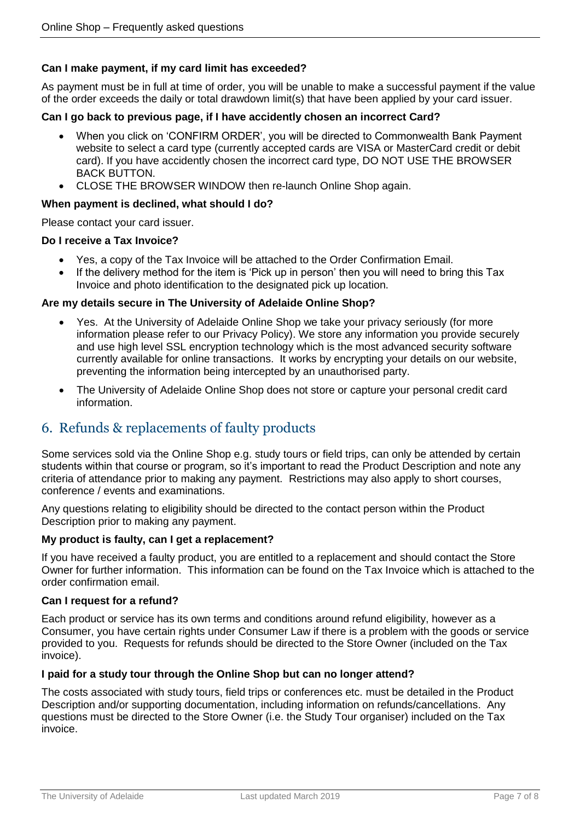#### **Can I make payment, if my card limit has exceeded?**

As payment must be in full at time of order, you will be unable to make a successful payment if the value of the order exceeds the daily or total drawdown limit(s) that have been applied by your card issuer.

#### **Can I go back to previous page, if I have accidently chosen an incorrect Card?**

- When you click on 'CONFIRM ORDER', you will be directed to Commonwealth Bank Payment website to select a card type (currently accepted cards are VISA or MasterCard credit or debit card). If you have accidently chosen the incorrect card type, DO NOT USE THE BROWSER BACK BUTTON.
- CLOSE THE BROWSER WINDOW then re-launch Online Shop again.

#### **When payment is declined, what should I do?**

Please contact your card issuer.

#### **Do I receive a Tax Invoice?**

- Yes, a copy of the Tax Invoice will be attached to the Order Confirmation Email.
- If the delivery method for the item is 'Pick up in person' then you will need to bring this Tax Invoice and photo identification to the designated pick up location.

#### **Are my details secure in The University of Adelaide Online Shop?**

- Yes. At the University of Adelaide Online Shop we take your privacy seriously (for more information please refer to our Privacy Policy). We store any information you provide securely and use high level SSL encryption technology which is the most advanced security software currently available for online transactions. It works by encrypting your details on our website, preventing the information being intercepted by an unauthorised party.
- The University of Adelaide Online Shop does not store or capture your personal credit card information.

## 6. Refunds & replacements of faulty products

Some services sold via the Online Shop e.g. study tours or field trips, can only be attended by certain students within that course or program, so it's important to read the Product Description and note any criteria of attendance prior to making any payment. Restrictions may also apply to short courses, conference / events and examinations.

Any questions relating to eligibility should be directed to the contact person within the Product Description prior to making any payment.

#### **My product is faulty, can I get a replacement?**

If you have received a faulty product, you are entitled to a replacement and should contact the Store Owner for further information. This information can be found on the Tax Invoice which is attached to the order confirmation email.

#### **Can I request for a refund?**

Each product or service has its own terms and conditions around refund eligibility, however as a Consumer, you have certain rights under Consumer Law if there is a problem with the goods or service provided to you. Requests for refunds should be directed to the Store Owner (included on the Tax invoice).

#### **I paid for a study tour through the Online Shop but can no longer attend?**

The costs associated with study tours, field trips or conferences etc. must be detailed in the Product Description and/or supporting documentation, including information on refunds/cancellations. Any questions must be directed to the Store Owner (i.e. the Study Tour organiser) included on the Tax invoice.